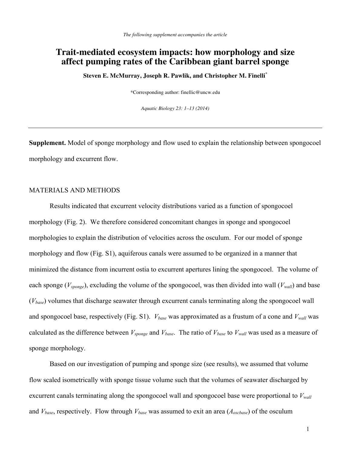# **Trait-mediated ecosystem impacts: how morphology and size affect pumping rates of the Caribbean giant barrel sponge**

**Steven E. McMurray, Joseph R. Pawlik, and Christopher M. Finelli\*** 

\*Corresponding author: finellic@uncw.edu

*Aquatic Biology 23: 1–13 (2014)* 

**Supplement.** Model of sponge morphology and flow used to explain the relationship between spongocoel morphology and excurrent flow.

# MATERIALS AND METHODS

Results indicated that excurrent velocity distributions varied as a function of spongocoel morphology (Fig. 2). We therefore considered concomitant changes in sponge and spongocoel morphologies to explain the distribution of velocities across the osculum. For our model of sponge morphology and flow (Fig. S1), aquiferous canals were assumed to be organized in a manner that minimized the distance from incurrent ostia to excurrent apertures lining the spongocoel. The volume of each sponge ( $V_{\text{sponge}}$ ), excluding the volume of the spongocoel, was then divided into wall ( $V_{\text{wall}}$ ) and base (*Vbase*) volumes that discharge seawater through excurrent canals terminating along the spongocoel wall and spongocoel base, respectively (Fig. S1).  $V_{base}$  was approximated as a frustum of a cone and  $V_{wall}$  was calculated as the difference between  $V_{\text{ponge}}$  and  $V_{\text{base}}$ . The ratio of  $V_{\text{base}}$  to  $V_{\text{wall}}$  was used as a measure of sponge morphology.

Based on our investigation of pumping and sponge size (see results), we assumed that volume flow scaled isometrically with sponge tissue volume such that the volumes of seawater discharged by excurrent canals terminating along the spongocoel wall and spongocoel base were proportional to  $V_{wall}$ and *Vbase*, respectively. Flow through *Vbase* was assumed to exit an area (*Aoscbase*) of the osculum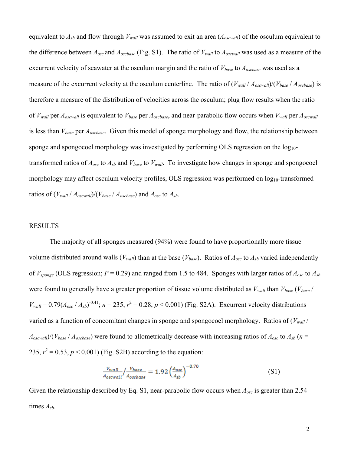equivalent to  $A_{sb}$  and flow through  $V_{wall}$  was assumed to exit an area  $(A_{oscwall})$  of the osculum equivalent to the difference between  $A_{osc}$  and  $A_{oscbase}$  (Fig. S1). The ratio of  $V_{wall}$  to  $A_{oscwall}$  was used as a measure of the excurrent velocity of seawater at the osculum margin and the ratio of *Vbase* to *Aoscbase* was used as a measure of the excurrent velocity at the osculum centerline. The ratio of (*Vwall* / *Aoscwall*)/(*Vbase* / *Aoscbase*) is therefore a measure of the distribution of velocities across the osculum; plug flow results when the ratio of *Vwall* per *Aoscwall* is equivalent to *Vbase* per *Aoscbase*, and near-parabolic flow occurs when *Vwall* per *Aoscwall* is less than *Vbase* per *Aoscbase*. Given this model of sponge morphology and flow, the relationship between sponge and spongocoel morphology was investigated by performing OLS regression on the  $log_{10}$ transformed ratios of *Aosc* to *Asb* and *Vbase* to *Vwall*. To investigate how changes in sponge and spongocoel morphology may affect osculum velocity profiles, OLS regression was performed on log<sub>10</sub>-transformed ratios of  $(V_{wall} / A_{oscwall})/(V_{base} / A_{oscbase})$  and  $A_{osc}$  to  $A_{sb}$ .

## RESULTS

The majority of all sponges measured (94%) were found to have proportionally more tissue volume distributed around walls ( $V_{wall}$ ) than at the base ( $V_{base}$ ). Ratios of  $A_{osc}$  to  $A_{sb}$  varied independently of *Vsponge* (OLS regression; *P* = 0.29) and ranged from 1.5 to 484. Sponges with larger ratios of *Aosc* to *Asb* were found to generally have a greater proportion of tissue volume distributed as  $V_{wall}$  than  $V_{base}$  ( $V_{base}$ )  $V_{wall} = 0.79(A_{osc}/A_{sb})^{-0.41}$ ;  $n = 235$ ,  $r^2 = 0.28$ ,  $p < 0.001$ ) (Fig. S2A). Excurrent velocity distributions varied as a function of concomitant changes in sponge and spongocoel morphology. Ratios of  $(V_{wall} /$  $A_{oscwall}$ /( $V_{base}$  /  $A_{oscbase}$ ) were found to allometrically decrease with increasing ratios of  $A_{osc}$  to  $A_{sb}$  ( $n =$ 235,  $r^2 = 0.53$ ,  $p < 0.001$ ) (Fig. S2B) according to the equation:

$$
\frac{v_{wall}}{A_{oscwall}} / \frac{v_{base}}{A_{oscbase}} = 1.92 \left(\frac{A_{osc}}{A_{sb}}\right)^{-0.70} \tag{S1}
$$

Given the relationship described by Eq. S1, near-parabolic flow occurs when *Aosc* is greater than 2.54 times *Asb*.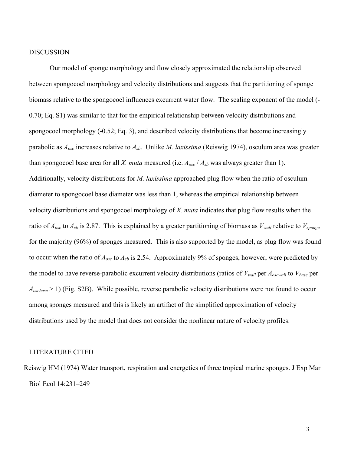# DISCUSSION

Our model of sponge morphology and flow closely approximated the relationship observed between spongocoel morphology and velocity distributions and suggests that the partitioning of sponge biomass relative to the spongocoel influences excurrent water flow. The scaling exponent of the model (- 0.70; Eq. S1) was similar to that for the empirical relationship between velocity distributions and spongocoel morphology (-0.52; Eq. 3), and described velocity distributions that become increasingly parabolic as *Aosc* increases relative to *Asb*. Unlike *M. laxissima* (Reiswig 1974), osculum area was greater than spongocoel base area for all *X. muta* measured (i.e. *Aosc* / *Asb* was always greater than 1). Additionally, velocity distributions for *M. laxissima* approached plug flow when the ratio of osculum diameter to spongocoel base diameter was less than 1, whereas the empirical relationship between velocity distributions and spongocoel morphology of *X. muta* indicates that plug flow results when the ratio of *Aosc* to *Asb* is 2.87. This is explained by a greater partitioning of biomass as *Vwall* relative to *Vsponge* for the majority (96%) of sponges measured. This is also supported by the model, as plug flow was found to occur when the ratio of *Aosc* to *Asb* is 2.54. Approximately 9% of sponges, however, were predicted by the model to have reverse-parabolic excurrent velocity distributions (ratios of *Vwall* per *Aoscwall* to *Vbase* per *Aoscbase* > 1) (Fig. S2B). While possible, reverse parabolic velocity distributions were not found to occur among sponges measured and this is likely an artifact of the simplified approximation of velocity distributions used by the model that does not consider the nonlinear nature of velocity profiles.

#### LITERATURE CITED

Reiswig HM (1974) Water transport, respiration and energetics of three tropical marine sponges. J Exp Mar Biol Ecol 14:231–249